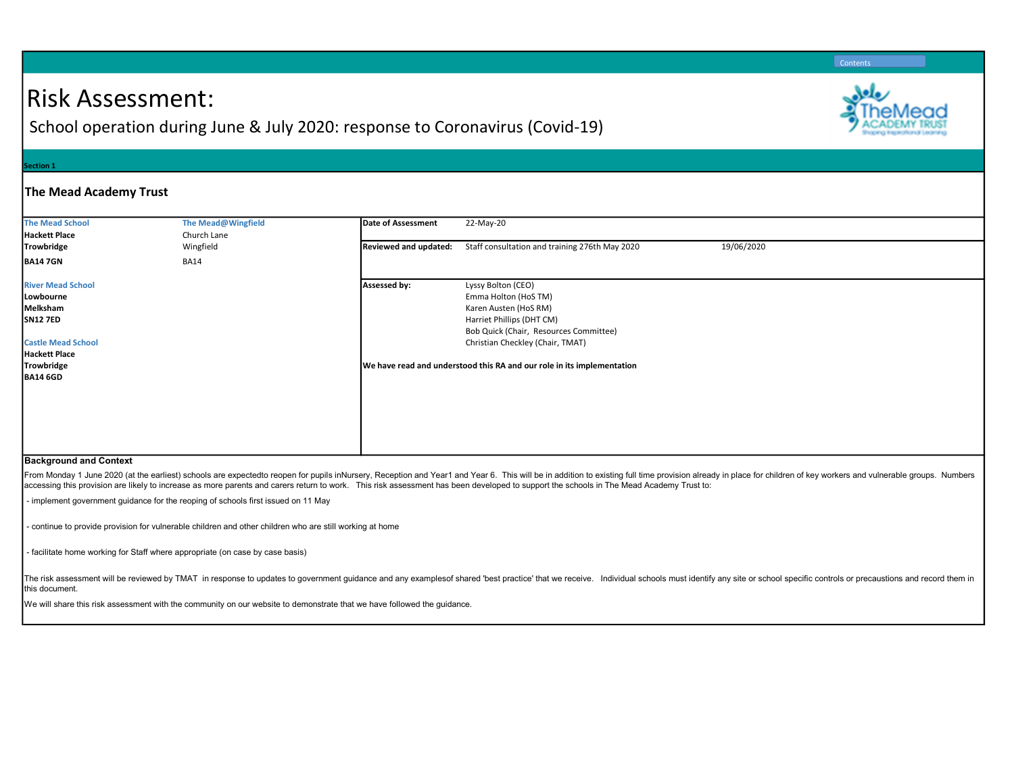# Risk Assessment:

School operation during June & July 2020: response to Coronavirus (Covid-19)

#### ection 1

### The Mead Academy Trust

| <b>The Mead School</b><br>Hackett Place                                                                                                                                             | The Mead@Wingfield<br>Church Lane | Date of Assessment    | 22-May-20                                                                                                                                                                                                                                                |            |  |
|-------------------------------------------------------------------------------------------------------------------------------------------------------------------------------------|-----------------------------------|-----------------------|----------------------------------------------------------------------------------------------------------------------------------------------------------------------------------------------------------------------------------------------------------|------------|--|
| Trowbridge                                                                                                                                                                          | Wingfield                         | Reviewed and updated: | Staff consultation and training 276th May 2020                                                                                                                                                                                                           | 19/06/2020 |  |
| <b>BA147GN</b>                                                                                                                                                                      | <b>BA14</b>                       |                       |                                                                                                                                                                                                                                                          |            |  |
| <b>River Mead School</b><br>Lowbourne<br>Melksham<br><b>SN12 7ED</b><br><b>Castle Mead School</b><br>Hackett Place<br>Trowbridge<br><b>BA14 6GD</b><br>Declining and said October 4 |                                   | Assessed by:          | Lyssy Bolton (CEO)<br>Emma Holton (HoS TM)<br>Karen Austen (HoS RM)<br>Harriet Phillips (DHT CM)<br>Bob Quick (Chair, Resources Committee)<br>Christian Checkley (Chair, TMAT)<br>We have read and understood this RA and our role in its implementation |            |  |

#### Background and Context

From Monday 1 June 2020 (at the earliest) schools are expectedto reopen for pupils inNursery, Reception and Year1 and Year 6. This will be in addition to existing full time provision already in place for children of key wo accessing this provision are likely to increase as more parents and carers return to work. This risk assessment has been developed to support the schools in The Mead Academy Trust to:

- implement government guidance for the reoping of schools first issued on 11 May

- continue to provide provision for vulnerable children and other children who are still working at home

- facilitate home working for Staff where appropriate (on case by case basis)

The risk assessment will be reviewed by TMAT in response to updates to government guidance and any examplesof shared 'best practice' that we receive. Individual schools must identify any site or school specific controls or this document.

We will share this risk assessment with the community on our website to demonstrate that we have followed the guidance.

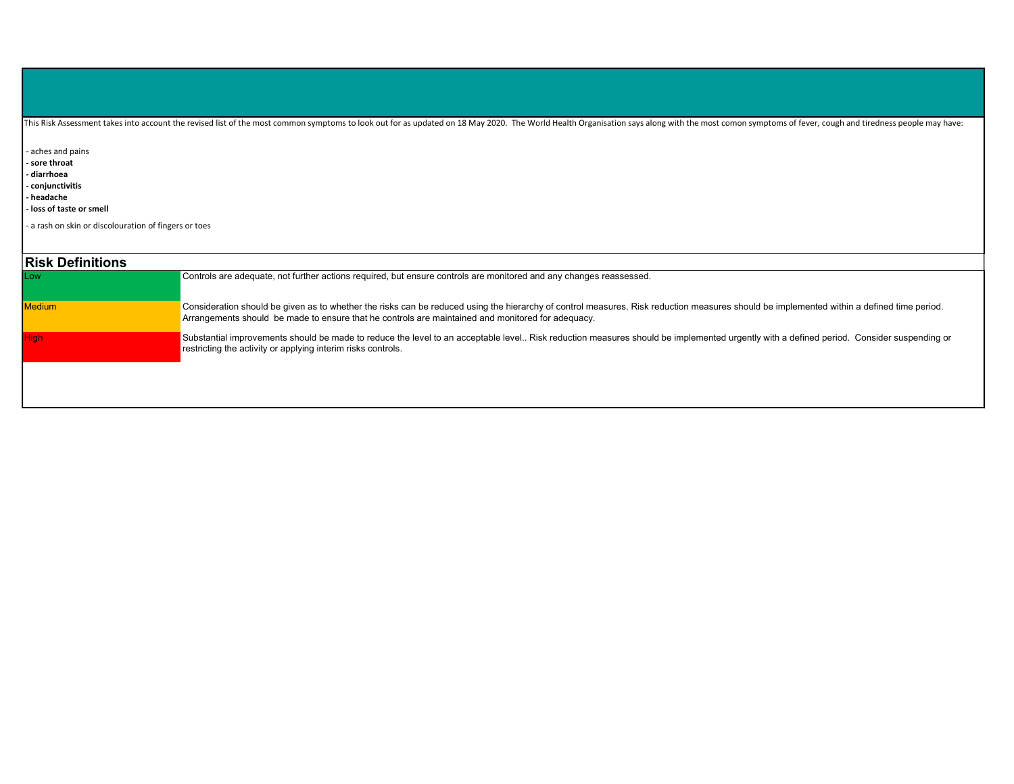|  | This Risk Assessment takes into account the revised list of the most common symptoms to look out for as updated on 18 May 2020. The World Health Organisation says along with the most comon symptoms of fever, cough and tire |
|--|--------------------------------------------------------------------------------------------------------------------------------------------------------------------------------------------------------------------------------|
|  |                                                                                                                                                                                                                                |
|  |                                                                                                                                                                                                                                |
|  |                                                                                                                                                                                                                                |

- aches and pains

- sore throat

- diarrhoea

- conjunctivitis

- headache

- loss of taste or smell

- a rash on skin or discolouration of fingers or toes

| <b>Risk Definitions</b> |                                                                                                                                                                                                                                                                                                |
|-------------------------|------------------------------------------------------------------------------------------------------------------------------------------------------------------------------------------------------------------------------------------------------------------------------------------------|
| <b>ILow</b>             | Controls are adequate, not further actions required, but ensure controls are monitored and any changes reassessed.                                                                                                                                                                             |
| <b>Medium</b>           | Consideration should be given as to whether the risks can be reduced using the hierarchy of control measures. Risk reduction measures should be implemented within a defined time period.<br>Arrangements should be made to ensure that he controls are maintained and monitored for adequacy. |
| High                    | Substantial improvements should be made to reduce the level to an acceptable level Risk reduction measures should be implemented urgently with a defined period. Consider suspending or<br>restricting the activity or applying interim risks controls.                                        |
|                         |                                                                                                                                                                                                                                                                                                |
|                         |                                                                                                                                                                                                                                                                                                |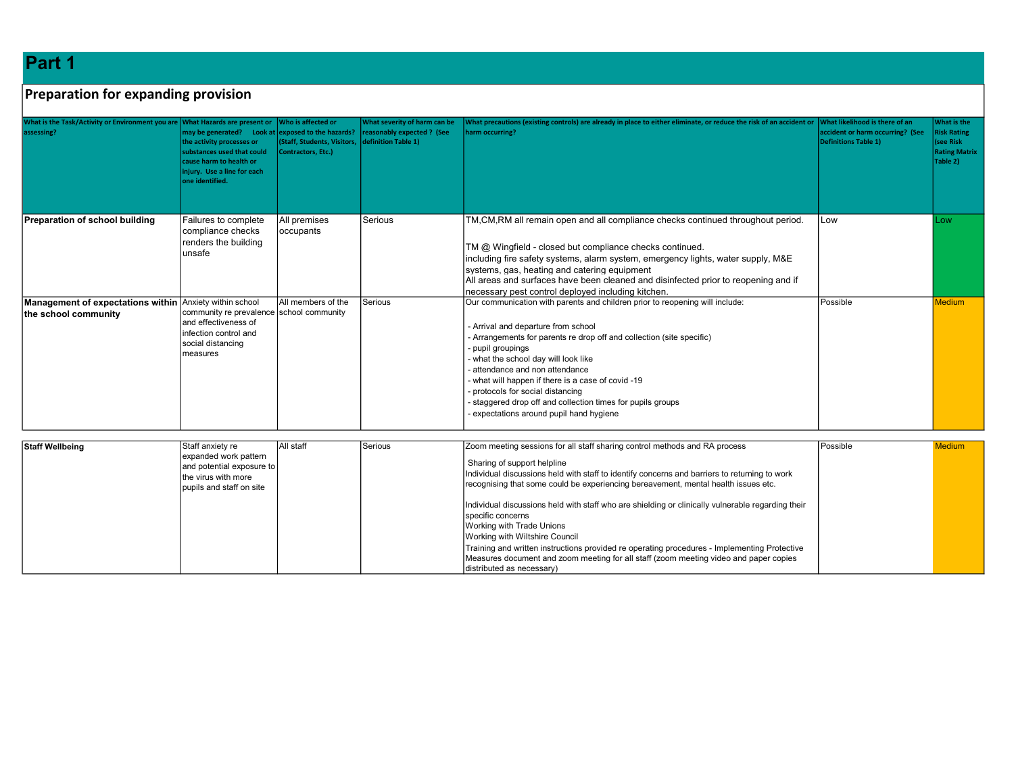Part 1

## Preparation for expanding provision

| What is the Task/Activity or Environment you are What Hazards are present or Who is affected or<br>assessing? | may be generated? Look at exposed to the hazards?<br>the activity processes or<br>substances used that could<br>cause harm to health or<br>injury. Use a line for each<br>one identified. | (Staff, Students, Visitors, definition Table 1)<br>Contractors, Etc.) | What severity of harm can be<br>reasonably expected ? (See | What precautions (existing controls) are already in place to either eliminate, or reduce the risk of an accident or<br>harm occurring?                                                                                                                                                                                                                                                                                                                                                     | What likelihood is there of an<br>accident or harm occurring? (See<br><b>Definitions Table 1)</b> | What is the<br><b>Risk Rating</b><br>(see Risk<br><b>Rating Matrix</b><br>Table 2) |
|---------------------------------------------------------------------------------------------------------------|-------------------------------------------------------------------------------------------------------------------------------------------------------------------------------------------|-----------------------------------------------------------------------|------------------------------------------------------------|--------------------------------------------------------------------------------------------------------------------------------------------------------------------------------------------------------------------------------------------------------------------------------------------------------------------------------------------------------------------------------------------------------------------------------------------------------------------------------------------|---------------------------------------------------------------------------------------------------|------------------------------------------------------------------------------------|
| Preparation of school building                                                                                | Failures to complete<br>compliance checks<br>renders the building<br>lunsafe                                                                                                              | All premises<br>occupants                                             | Serious                                                    | TM,CM,RM all remain open and all compliance checks continued throughout period.<br>TM @ Wingfield - closed but compliance checks continued.<br>including fire safety systems, alarm system, emergency lights, water supply, M&E<br>systems, gas, heating and catering equipment<br>All areas and surfaces have been cleaned and disinfected prior to reopening and if<br>necessary pest control deployed including kitchen.                                                                | Low                                                                                               | Low                                                                                |
| Management of expectations within Anxiety within school<br>the school community                               | community re prevalence school community<br>and effectiveness of<br>linfection control and<br>social distancing<br>Imeasures                                                              | All members of the                                                    | Serious                                                    | Our communication with parents and children prior to reopening will include:<br>- Arrival and departure from school<br>- Arrangements for parents re drop off and collection (site specific)<br>- pupil groupings<br>- what the school day will look like<br>attendance and non attendance<br>- what will happen if there is a case of covid -19<br>protocols for social distancing<br>staggered drop off and collection times for pupils groups<br>expectations around pupil hand hygiene | Possible                                                                                          | <b>Medium</b>                                                                      |

| <b>Staff Wellbeing</b> | Staff anxiety re<br>expanded work pattern<br>and potential exposure to<br>the virus with more<br>pupils and staff on site | <b>All staff</b> | l Serious | Zoom meeting sessions for all staff sharing control methods and RA process<br>Sharing of support helpline<br>Individual discussions held with staff to identify concerns and barriers to returning to work<br>recognising that some could be experiencing bereavement, mental health issues etc.                                                                                                             | Possible | <b>Medium</b> |
|------------------------|---------------------------------------------------------------------------------------------------------------------------|------------------|-----------|--------------------------------------------------------------------------------------------------------------------------------------------------------------------------------------------------------------------------------------------------------------------------------------------------------------------------------------------------------------------------------------------------------------|----------|---------------|
|                        |                                                                                                                           |                  |           | Individual discussions held with staff who are shielding or clinically vulnerable regarding their<br>Ispecific concerns<br>Working with Trade Unions<br>Working with Wiltshire Council<br>Training and written instructions provided re operating procedures - Implementing Protective<br>Measures document and zoom meeting for all staff (zoom meeting video and paper copies<br>distributed as necessary) |          |               |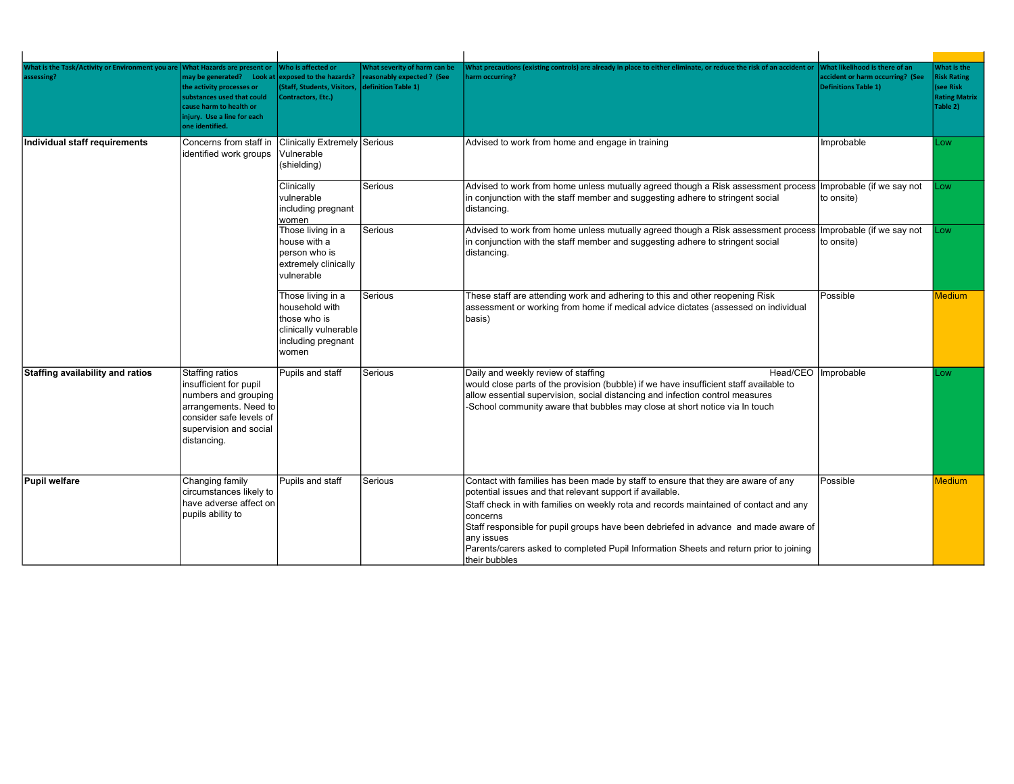| <b>What is the Task/Activity or Environment you are</b><br>ssessing? | <b>What Hazards are present or</b><br>may be generated? Look at<br>the activity processes or<br>substances used that could<br>cause harm to health or<br>injury. Use a line for each<br>one identified. | Who is affected or<br>exposed to the hazards?<br><b>Staff, Students, Visitors,</b><br>Contractors, Etc.)    | <b>Nhat severity of harm can be</b><br>reasonably expected ? (See<br>definition Table 1) | What precautions (existing controls) are already in place to either eliminate, or reduce the risk of an accident or<br>harm occurring?                                                                                                                                                                                                                                                                                                                             | What likelihood is there of an<br>accident or harm occurring? (See<br>Definitions Table 1) | What is the<br><b>Risk Rating</b><br>(see Risk<br><b>Rating Matrix</b><br>Table 2) |
|----------------------------------------------------------------------|---------------------------------------------------------------------------------------------------------------------------------------------------------------------------------------------------------|-------------------------------------------------------------------------------------------------------------|------------------------------------------------------------------------------------------|--------------------------------------------------------------------------------------------------------------------------------------------------------------------------------------------------------------------------------------------------------------------------------------------------------------------------------------------------------------------------------------------------------------------------------------------------------------------|--------------------------------------------------------------------------------------------|------------------------------------------------------------------------------------|
| Individual staff requirements                                        | Concerns from staff in<br>identified work groups                                                                                                                                                        | Clinically Extremely Serious<br>Vulnerable<br>(shielding)                                                   |                                                                                          | Advised to work from home and engage in training                                                                                                                                                                                                                                                                                                                                                                                                                   | Improbable                                                                                 | LOW                                                                                |
|                                                                      |                                                                                                                                                                                                         | Clinically<br>vulnerable<br>including pregnant<br>women                                                     | Serious                                                                                  | Advised to work from home unless mutually agreed though a Risk assessment process   Improbable (if we say not<br>in conjunction with the staff member and suggesting adhere to stringent social<br>distancing.                                                                                                                                                                                                                                                     | to onsite)                                                                                 | .ow                                                                                |
|                                                                      |                                                                                                                                                                                                         | Those living in a<br>house with a<br>person who is<br>extremely clinically<br>vulnerable                    | Serious                                                                                  | Advised to work from home unless mutually agreed though a Risk assessment process   Improbable (if we say not<br>in conjunction with the staff member and suggesting adhere to stringent social<br>distancing.                                                                                                                                                                                                                                                     | to onsite)                                                                                 | .ow                                                                                |
|                                                                      |                                                                                                                                                                                                         | Those living in a<br>household with<br>those who is<br>clinically vulnerable<br>including pregnant<br>women | Serious                                                                                  | These staff are attending work and adhering to this and other reopening Risk<br>assessment or working from home if medical advice dictates (assessed on individual<br>basis)                                                                                                                                                                                                                                                                                       | Possible                                                                                   | <b>Medium</b>                                                                      |
| Staffing availability and ratios                                     | Staffing ratios<br>insufficient for pupil<br>numbers and grouping<br>arrangements. Need to<br>consider safe levels of<br>supervision and social<br>distancing.                                          | Pupils and staff                                                                                            | Serious                                                                                  | Daily and weekly review of staffing<br>Head/CEO   Improbable<br>would close parts of the provision (bubble) if we have insufficient staff available to<br>allow essential supervision, social distancing and infection control measures<br>-School community aware that bubbles may close at short notice via In touch                                                                                                                                             |                                                                                            | LOW.                                                                               |
| Pupil welfare                                                        | Changing family<br>circumstances likely to<br>have adverse affect on<br>pupils ability to                                                                                                               | Pupils and staff                                                                                            | Serious                                                                                  | Contact with families has been made by staff to ensure that they are aware of any<br>potential issues and that relevant support if available.<br>Staff check in with families on weekly rota and records maintained of contact and any<br>concerns<br>Staff responsible for pupil groups have been debriefed in advance and made aware of<br>any issues<br>Parents/carers asked to completed Pupil Information Sheets and return prior to joining<br>their bubbles | Possible                                                                                   | <b>Medium</b>                                                                      |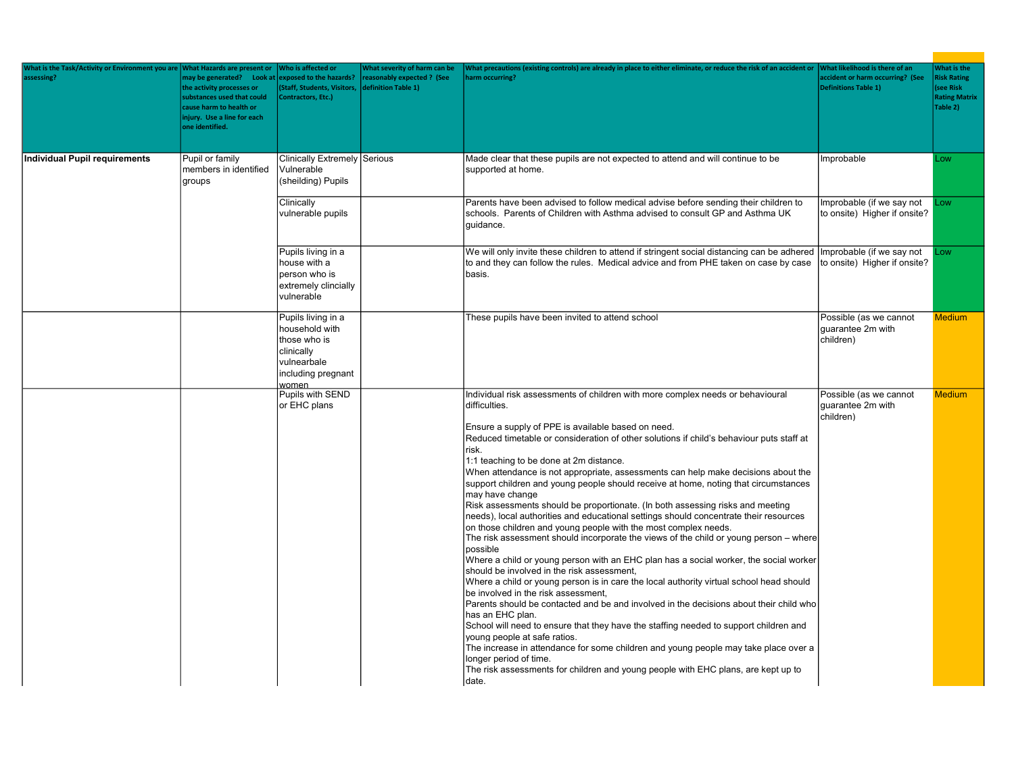| What is the Task/Activity or Environment you are<br>assessing? | <b>What Hazards are present or</b><br>may be generated? Look at<br>the activity processes or<br>substances used that could<br>cause harm to health or<br>injury. Use a line for each<br>one identified. | Who is affected or<br>exposed to the hazards?<br>(Staff, Students, Visitors,<br>Contractors, Etc.)               | What severity of harm can be<br>reasonably expected ? (See<br>definition Table 1) | What precautions (existing controls) are already in place to either eliminate, or reduce the risk of an accident or<br>harm occurring?                                                                                                                                                                                                                                                                                                                                                                                                                                                                                                                                                                                                                                                                                                                                                                                                                                                                                                                                                                                                                                                                                                                                                                                                                                                                                                                                                                                                                                                  | What likelihood is there of an<br>accident or harm occurring? (See<br><b>Definitions Table 1)</b> | What is the<br><b>Risk Rating</b><br>(see Risk<br><b>Rating Matrix</b><br>Table 2) |
|----------------------------------------------------------------|---------------------------------------------------------------------------------------------------------------------------------------------------------------------------------------------------------|------------------------------------------------------------------------------------------------------------------|-----------------------------------------------------------------------------------|-----------------------------------------------------------------------------------------------------------------------------------------------------------------------------------------------------------------------------------------------------------------------------------------------------------------------------------------------------------------------------------------------------------------------------------------------------------------------------------------------------------------------------------------------------------------------------------------------------------------------------------------------------------------------------------------------------------------------------------------------------------------------------------------------------------------------------------------------------------------------------------------------------------------------------------------------------------------------------------------------------------------------------------------------------------------------------------------------------------------------------------------------------------------------------------------------------------------------------------------------------------------------------------------------------------------------------------------------------------------------------------------------------------------------------------------------------------------------------------------------------------------------------------------------------------------------------------------|---------------------------------------------------------------------------------------------------|------------------------------------------------------------------------------------|
| <b>Individual Pupil requirements</b>                           | Pupil or family<br>members in identified<br>groups                                                                                                                                                      | Clinically Extremely Serious<br>Vulnerable<br>(sheilding) Pupils                                                 |                                                                                   | Made clear that these pupils are not expected to attend and will continue to be<br>supported at home.                                                                                                                                                                                                                                                                                                                                                                                                                                                                                                                                                                                                                                                                                                                                                                                                                                                                                                                                                                                                                                                                                                                                                                                                                                                                                                                                                                                                                                                                                   | Improbable                                                                                        | Low                                                                                |
|                                                                |                                                                                                                                                                                                         | Clinically<br>vulnerable pupils                                                                                  |                                                                                   | Parents have been advised to follow medical advise before sending their children to<br>schools. Parents of Children with Asthma advised to consult GP and Asthma UK<br>quidance.                                                                                                                                                                                                                                                                                                                                                                                                                                                                                                                                                                                                                                                                                                                                                                                                                                                                                                                                                                                                                                                                                                                                                                                                                                                                                                                                                                                                        | Improbable (if we say not<br>to onsite) Higher if onsite?                                         | Low                                                                                |
|                                                                |                                                                                                                                                                                                         | Pupils living in a<br>house with a<br>person who is<br>extremely clincially<br>vulnerable                        |                                                                                   | We will only invite these children to attend if stringent social distancing can be adhered<br>to and they can follow the rules. Medical advice and from PHE taken on case by case<br>basis.                                                                                                                                                                                                                                                                                                                                                                                                                                                                                                                                                                                                                                                                                                                                                                                                                                                                                                                                                                                                                                                                                                                                                                                                                                                                                                                                                                                             | Improbable (if we say not<br>to onsite) Higher if onsite?                                         | Low                                                                                |
|                                                                |                                                                                                                                                                                                         | Pupils living in a<br>household with<br>those who is<br>clinically<br>vulnearbale<br>including pregnant<br>women |                                                                                   | These pupils have been invited to attend school                                                                                                                                                                                                                                                                                                                                                                                                                                                                                                                                                                                                                                                                                                                                                                                                                                                                                                                                                                                                                                                                                                                                                                                                                                                                                                                                                                                                                                                                                                                                         | Possible (as we cannot<br>quarantee 2m with<br>children)                                          | <b>Medium</b>                                                                      |
|                                                                |                                                                                                                                                                                                         | Pupils with SEND<br>or EHC plans                                                                                 |                                                                                   | Individual risk assessments of children with more complex needs or behavioural<br>difficulties.<br>Ensure a supply of PPE is available based on need.<br>Reduced timetable or consideration of other solutions if child's behaviour puts staff at<br>risk.<br>1:1 teaching to be done at 2m distance.<br>When attendance is not appropriate, assessments can help make decisions about the<br>support children and young people should receive at home, noting that circumstances<br>may have change<br>Risk assessments should be proportionate. (In both assessing risks and meeting<br>needs), local authorities and educational settings should concentrate their resources<br>on those children and young people with the most complex needs.<br>The risk assessment should incorporate the views of the child or young person - where<br>possible<br>Where a child or young person with an EHC plan has a social worker, the social worker<br>should be involved in the risk assessment,<br>Where a child or young person is in care the local authority virtual school head should<br>be involved in the risk assessment,<br>Parents should be contacted and be and involved in the decisions about their child who<br>has an EHC plan.<br>School will need to ensure that they have the staffing needed to support children and<br>young people at safe ratios.<br>The increase in attendance for some children and young people may take place over a<br>longer period of time.<br>The risk assessments for children and young people with EHC plans, are kept up to<br>Idate. | Possible (as we cannot<br>guarantee 2m with<br>children)                                          | <b>Medium</b>                                                                      |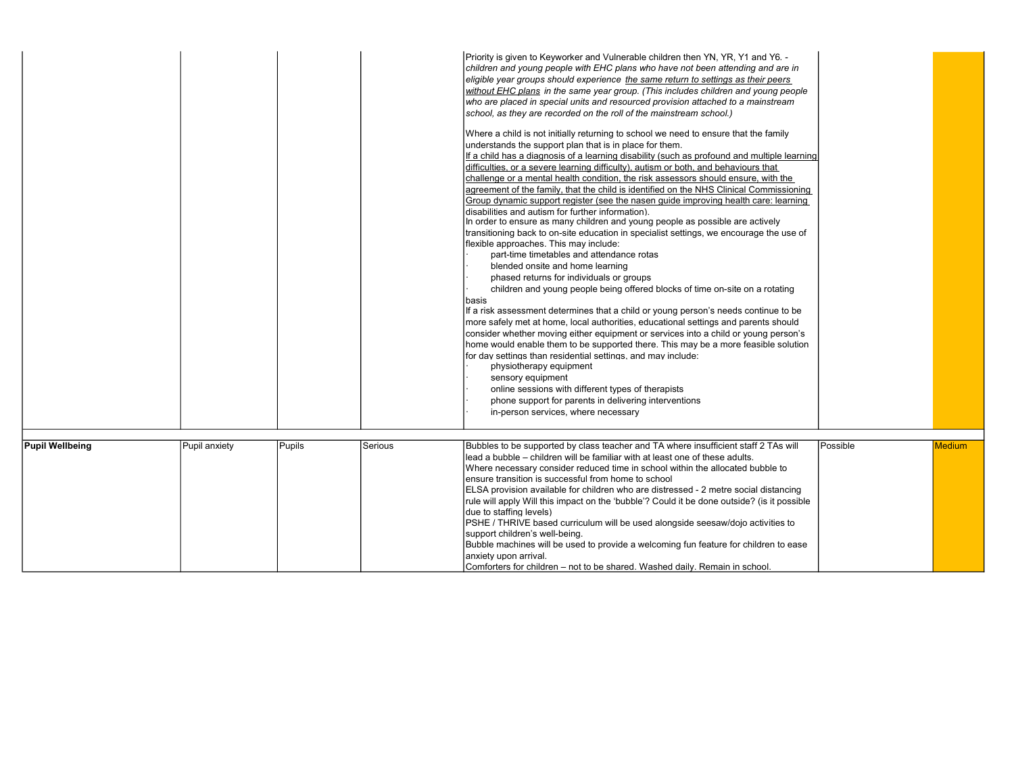|                        |               |        |         | Priority is given to Keyworker and Vulnerable children then YN, YR, Y1 and Y6. -<br>children and young people with EHC plans who have not been attending and are in<br>eligible year groups should experience the same return to settings as their peers<br>without EHC plans in the same year group. (This includes children and young people<br>who are placed in special units and resourced provision attached to a mainstream<br>school, as they are recorded on the roll of the mainstream school.)<br>Where a child is not initially returning to school we need to ensure that the family<br>understands the support plan that is in place for them.<br>If a child has a diagnosis of a learning disability (such as profound and multiple learning)<br>difficulties, or a severe learning difficulty), autism or both, and behaviours that<br>challenge or a mental health condition, the risk assessors should ensure, with the<br>agreement of the family, that the child is identified on the NHS Clinical Commissioning<br>Group dynamic support register (see the nasen guide improving health care: learning<br>disabilities and autism for further information).<br>In order to ensure as many children and young people as possible are actively<br>transitioning back to on-site education in specialist settings, we encourage the use of<br>flexible approaches. This may include:<br>part-time timetables and attendance rotas<br>blended onsite and home learning<br>phased returns for individuals or groups<br>children and young people being offered blocks of time on-site on a rotating<br>basis<br>If a risk assessment determines that a child or young person's needs continue to be<br>more safely met at home, local authorities, educational settings and parents should<br>consider whether moving either equipment or services into a child or young person's<br>home would enable them to be supported there. This may be a more feasible solution<br>for day settings than residential settings, and may include:<br>physiotherapy equipment<br>sensory equipment<br>online sessions with different types of therapists<br>phone support for parents in delivering interventions<br>in-person services, where necessary |          |               |
|------------------------|---------------|--------|---------|---------------------------------------------------------------------------------------------------------------------------------------------------------------------------------------------------------------------------------------------------------------------------------------------------------------------------------------------------------------------------------------------------------------------------------------------------------------------------------------------------------------------------------------------------------------------------------------------------------------------------------------------------------------------------------------------------------------------------------------------------------------------------------------------------------------------------------------------------------------------------------------------------------------------------------------------------------------------------------------------------------------------------------------------------------------------------------------------------------------------------------------------------------------------------------------------------------------------------------------------------------------------------------------------------------------------------------------------------------------------------------------------------------------------------------------------------------------------------------------------------------------------------------------------------------------------------------------------------------------------------------------------------------------------------------------------------------------------------------------------------------------------------------------------------------------------------------------------------------------------------------------------------------------------------------------------------------------------------------------------------------------------------------------------------------------------------------------------------------------------------------------------------------------------------------------------------------------------------------------------------------------|----------|---------------|
|                        |               |        |         |                                                                                                                                                                                                                                                                                                                                                                                                                                                                                                                                                                                                                                                                                                                                                                                                                                                                                                                                                                                                                                                                                                                                                                                                                                                                                                                                                                                                                                                                                                                                                                                                                                                                                                                                                                                                                                                                                                                                                                                                                                                                                                                                                                                                                                                               |          |               |
| <b>Pupil Wellbeing</b> | Pupil anxiety | Pupils | Serious | Bubbles to be supported by class teacher and TA where insufficient staff 2 TAs will<br>lead a bubble – children will be familiar with at least one of these adults.<br>Where necessary consider reduced time in school within the allocated bubble to<br>ensure transition is successful from home to school<br>ELSA provision available for children who are distressed - 2 metre social distancing<br>rule will apply Will this impact on the 'bubble'? Could it be done outside? (is it possible<br>due to staffing levels)<br>PSHE / THRIVE based curriculum will be used alongside seesaw/dojo activities to<br>support children's well-being.<br>Bubble machines will be used to provide a welcoming fun feature for children to ease<br>anxiety upon arrival.<br>Comforters for children – not to be shared. Washed daily. Remain in school.                                                                                                                                                                                                                                                                                                                                                                                                                                                                                                                                                                                                                                                                                                                                                                                                                                                                                                                                                                                                                                                                                                                                                                                                                                                                                                                                                                                                           | Possible | <b>Medium</b> |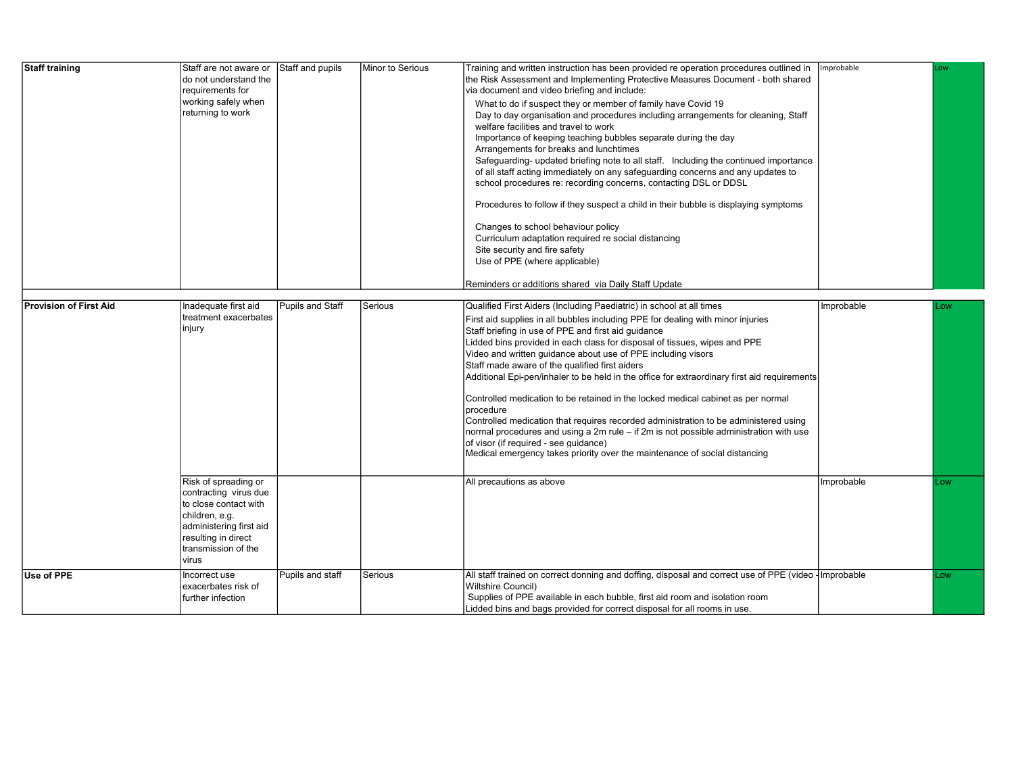| Staff training         | Staff are not aware or Staff and pupils<br>do not understand the<br>requirements for<br>working safely when<br>returning to work                                           |                  | Minor to Serious | Training and written instruction has been provided re operation procedures outlined in<br>the Risk Assessment and Implementing Protective Measures Document - both shared<br>via document and video briefing and include:<br>What to do if suspect they or member of family have Covid 19<br>Day to day organisation and procedures including arrangements for cleaning, Staff<br>welfare facilities and travel to work<br>Importance of keeping teaching bubbles separate during the day                                                                                                                                                                                                                                                                                                                                                                                                                              | Improbable | .ow |
|------------------------|----------------------------------------------------------------------------------------------------------------------------------------------------------------------------|------------------|------------------|------------------------------------------------------------------------------------------------------------------------------------------------------------------------------------------------------------------------------------------------------------------------------------------------------------------------------------------------------------------------------------------------------------------------------------------------------------------------------------------------------------------------------------------------------------------------------------------------------------------------------------------------------------------------------------------------------------------------------------------------------------------------------------------------------------------------------------------------------------------------------------------------------------------------|------------|-----|
|                        |                                                                                                                                                                            |                  |                  | Arrangements for breaks and lunchtimes<br>Safeguarding- updated briefing note to all staff. Including the continued importance<br>of all staff acting immediately on any safeguarding concerns and any updates to<br>school procedures re: recording concerns, contacting DSL or DDSL                                                                                                                                                                                                                                                                                                                                                                                                                                                                                                                                                                                                                                  |            |     |
|                        |                                                                                                                                                                            |                  |                  | Procedures to follow if they suspect a child in their bubble is displaying symptoms<br>Changes to school behaviour policy<br>Curriculum adaptation required re social distancing<br>Site security and fire safety<br>Use of PPE (where applicable)<br>Reminders or additions shared via Daily Staff Update                                                                                                                                                                                                                                                                                                                                                                                                                                                                                                                                                                                                             |            |     |
|                        |                                                                                                                                                                            |                  |                  |                                                                                                                                                                                                                                                                                                                                                                                                                                                                                                                                                                                                                                                                                                                                                                                                                                                                                                                        |            |     |
| Provision of First Aid | Inadequate first aid<br>treatment exacerbates<br>injury                                                                                                                    | Pupils and Staff | Serious          | Qualified First Aiders (Including Paediatric) in school at all times<br>First aid supplies in all bubbles including PPE for dealing with minor injuries<br>Staff briefing in use of PPE and first aid guidance<br>Lidded bins provided in each class for disposal of tissues, wipes and PPE<br>Video and written quidance about use of PPE including visors<br>Staff made aware of the qualified first aiders<br>Additional Epi-pen/inhaler to be held in the office for extraordinary first aid requirements<br>Controlled medication to be retained in the locked medical cabinet as per normal<br>procedure<br>Controlled medication that requires recorded administration to be administered using<br>normal procedures and using a 2m rule – if 2m is not possible administration with use<br>of visor (if required - see quidance)<br>Medical emergency takes priority over the maintenance of social distancing | Improbable | LOW |
|                        | Risk of spreading or<br>contracting virus due<br>to close contact with<br>children, e.g.<br>administering first aid<br>resulting in direct<br>transmission of the<br>virus |                  |                  | All precautions as above                                                                                                                                                                                                                                                                                                                                                                                                                                                                                                                                                                                                                                                                                                                                                                                                                                                                                               | Improbable | LOW |
| Use of PPE             | Incorrect use<br>exacerbates risk of<br>further infection                                                                                                                  | Pupils and staff | Serious          | All staff trained on correct donning and doffing, disposal and correct use of PPE (video - Improbable<br>Wiltshire Council)<br>Supplies of PPE available in each bubble, first aid room and isolation room<br>Lidded bins and bags provided for correct disposal for all rooms in use.                                                                                                                                                                                                                                                                                                                                                                                                                                                                                                                                                                                                                                 |            | LOW |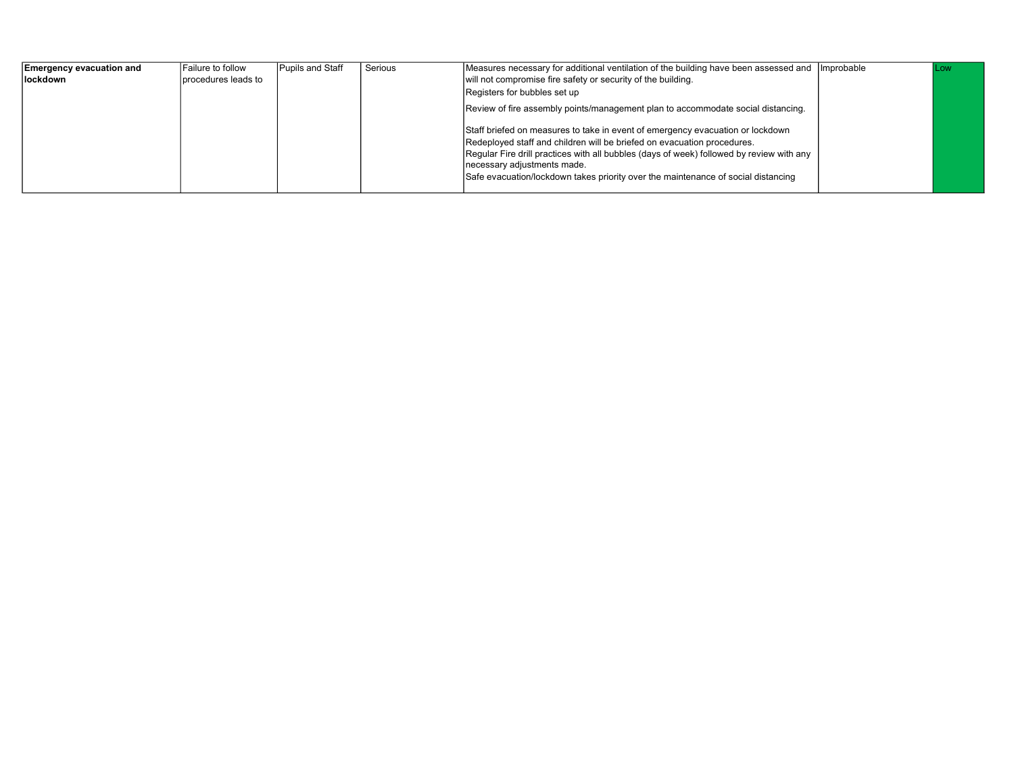| <b>Emergency evacuation and</b> | <b>Failure to follow</b> | Pupils and Staff | Serious | Measures necessary for additional ventilation of the building have been assessed and Improbable                                                                                                                                                                                                                                                                           | l Low |
|---------------------------------|--------------------------|------------------|---------|---------------------------------------------------------------------------------------------------------------------------------------------------------------------------------------------------------------------------------------------------------------------------------------------------------------------------------------------------------------------------|-------|
| lockdown                        | Iprocedures leads to     |                  |         | will not compromise fire safety or security of the building.                                                                                                                                                                                                                                                                                                              |       |
|                                 |                          |                  |         | Registers for bubbles set up                                                                                                                                                                                                                                                                                                                                              |       |
|                                 |                          |                  |         | Review of fire assembly points/management plan to accommodate social distancing.                                                                                                                                                                                                                                                                                          |       |
|                                 |                          |                  |         | Staff briefed on measures to take in event of emergency evacuation or lockdown<br>Redeployed staff and children will be briefed on evacuation procedures.<br>Regular Fire drill practices with all bubbles (days of week) followed by review with any<br>necessary adjustments made.<br>Safe evacuation/lockdown takes priority over the maintenance of social distancing |       |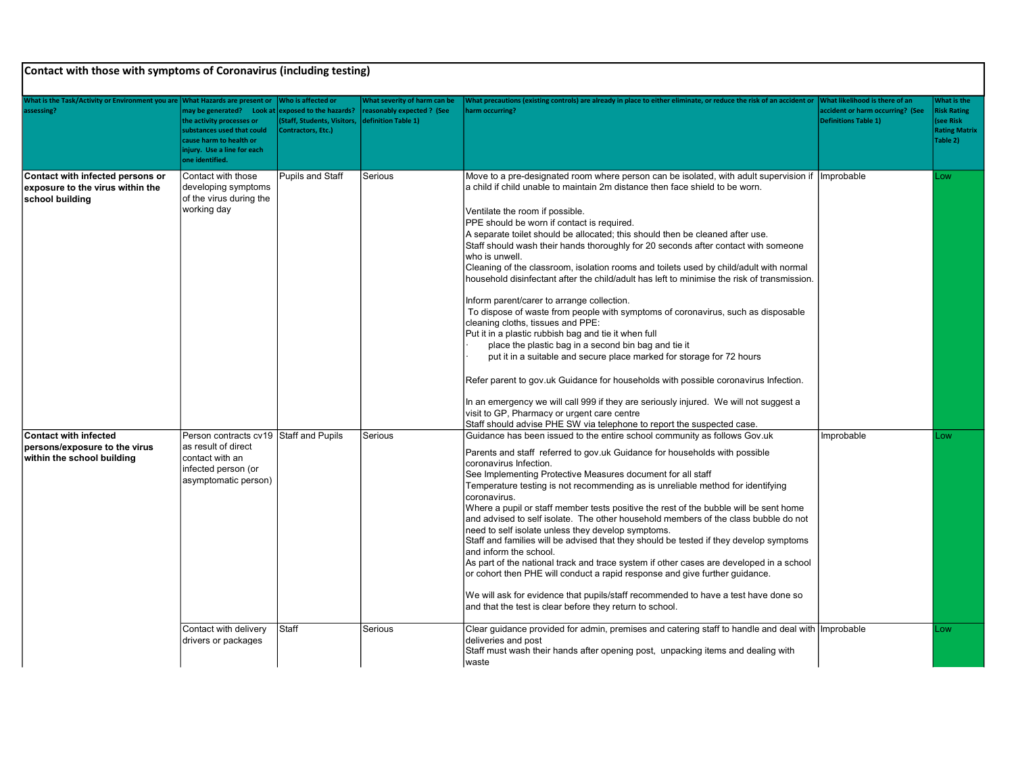| What is the Task/Activity or Environment you are<br>assessing?                              | <b>What Hazards are present or</b><br>may be generated? Look at<br>the activity processes or<br>substances used that could<br>cause harm to health or<br>injury. Use a line for each | Vho is affected or<br>exposed to the hazards?<br><b>Staff, Students, Visitors,</b><br>Contractors, Etc.) | What severity of harm can be<br>reasonably expected ? (See<br>definition Table 1) | What precautions (existing controls) are already in place to either eliminate, or reduce the risk of an accident or<br>harm occurring?                                                                                                                                                                                                                                                                                                                                                                                                                                                                                                                                                                                                                                                                                                                                                                                                                                                                                                                                                                                                                                                                                                                                                                                         | <b>What likelihood is there of an</b><br>accident or harm occurring? (See<br><b>Definitions Table 1)</b> | What is the<br><b>Risk Rating</b><br>(see Risk<br><b>Rating Matrix</b><br>Table 2) |
|---------------------------------------------------------------------------------------------|--------------------------------------------------------------------------------------------------------------------------------------------------------------------------------------|----------------------------------------------------------------------------------------------------------|-----------------------------------------------------------------------------------|--------------------------------------------------------------------------------------------------------------------------------------------------------------------------------------------------------------------------------------------------------------------------------------------------------------------------------------------------------------------------------------------------------------------------------------------------------------------------------------------------------------------------------------------------------------------------------------------------------------------------------------------------------------------------------------------------------------------------------------------------------------------------------------------------------------------------------------------------------------------------------------------------------------------------------------------------------------------------------------------------------------------------------------------------------------------------------------------------------------------------------------------------------------------------------------------------------------------------------------------------------------------------------------------------------------------------------|----------------------------------------------------------------------------------------------------------|------------------------------------------------------------------------------------|
| Contact with infected persons or<br>exposure to the virus within the<br>school building     | one identified.<br>Contact with those<br>developing symptoms<br>of the virus during the<br>working day                                                                               | Pupils and Staff                                                                                         | Serious                                                                           | Move to a pre-designated room where person can be isolated, with adult supervision if   Improbable<br>a child if child unable to maintain 2m distance then face shield to be worn.<br>Ventilate the room if possible.<br>PPE should be worn if contact is required.<br>A separate toilet should be allocated; this should then be cleaned after use.<br>Staff should wash their hands thoroughly for 20 seconds after contact with someone<br>who is unwell.<br>Cleaning of the classroom, isolation rooms and toilets used by child/adult with normal<br>household disinfectant after the child/adult has left to minimise the risk of transmission.<br>Inform parent/carer to arrange collection.<br>To dispose of waste from people with symptoms of coronavirus, such as disposable<br>cleaning cloths, tissues and PPE:<br>Put it in a plastic rubbish bag and tie it when full<br>place the plastic bag in a second bin bag and tie it<br>put it in a suitable and secure place marked for storage for 72 hours<br>Refer parent to gov.uk Guidance for households with possible coronavirus Infection.<br>In an emergency we will call 999 if they are seriously injured. We will not suggest a<br>visit to GP. Pharmacy or urgent care centre<br>Staff should advise PHE SW via telephone to report the suspected case. |                                                                                                          | Low                                                                                |
| <b>Contact with infected</b><br>persons/exposure to the virus<br>within the school building | Person contracts cv19 Staff and Pupils<br>as result of direct<br>contact with an<br>infected person (or<br>asymptomatic person)                                                      |                                                                                                          | Serious                                                                           | Guidance has been issued to the entire school community as follows Gov.uk<br>Parents and staff referred to gov.uk Guidance for households with possible<br>coronavirus Infection.<br>See Implementing Protective Measures document for all staff<br>Temperature testing is not recommending as is unreliable method for identifying<br>coronavirus.<br>Where a pupil or staff member tests positive the rest of the bubble will be sent home<br>and advised to self isolate. The other household members of the class bubble do not<br>need to self isolate unless they develop symptoms.<br>Staff and families will be advised that they should be tested if they develop symptoms<br>and inform the school.<br>As part of the national track and trace system if other cases are developed in a school<br>or cohort then PHE will conduct a rapid response and give further guidance.<br>We will ask for evidence that pupils/staff recommended to have a test have done so<br>and that the test is clear before they return to school.                                                                                                                                                                                                                                                                                      | Improbable                                                                                               | Low                                                                                |
|                                                                                             | Contact with delivery<br>drivers or packages                                                                                                                                         | Staff                                                                                                    | Serious                                                                           | Clear guidance provided for admin, premises and catering staff to handle and deal with   Improbable<br>deliveries and post<br>Staff must wash their hands after opening post, unpacking items and dealing with<br>waste                                                                                                                                                                                                                                                                                                                                                                                                                                                                                                                                                                                                                                                                                                                                                                                                                                                                                                                                                                                                                                                                                                        |                                                                                                          | Low                                                                                |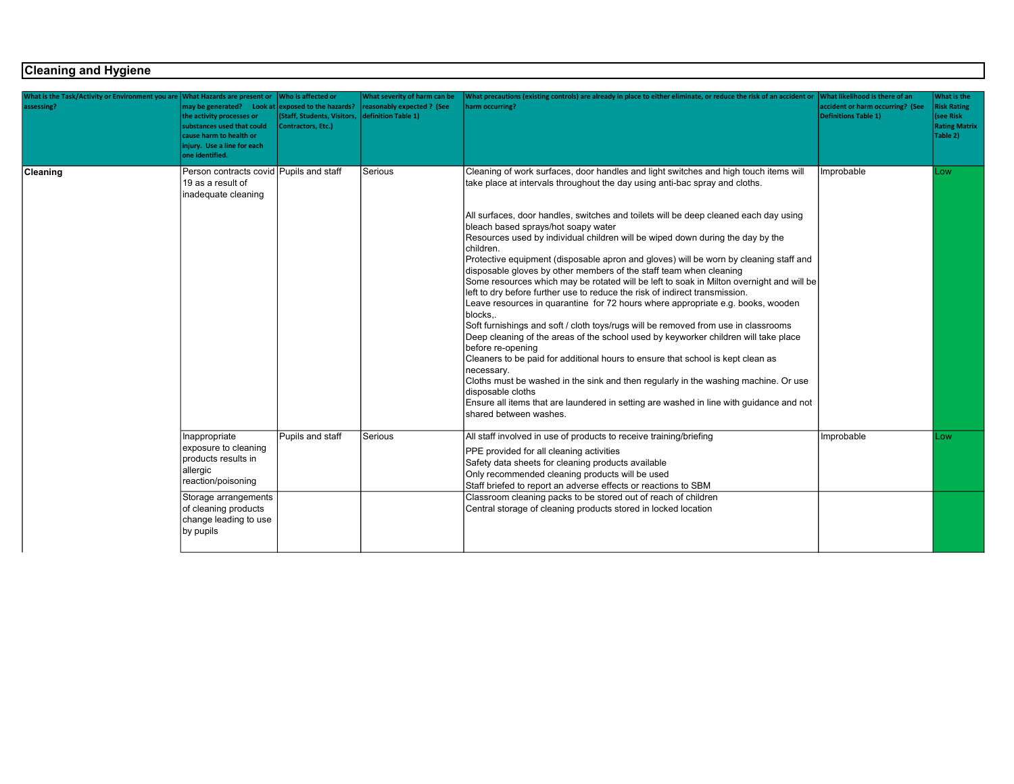## Cleaning and Hygiene

| What is the Task/Activity or Environment you are What Hazards are present or<br>assessing? | may be generated? Look at exposed to the hazards?<br>the activity processes or<br>substances used that could<br>cause harm to health or<br>injury. Use a line for each<br>one identified. | Who is affected or<br>(Staff, Students, Visitors,<br>Contractors, Etc.) | What severity of harm can be<br>reasonably expected ? (See<br>definition Table 1) | What precautions (existing controls) are already in place to either eliminate, or reduce the risk of an accident or<br>narm occurring?                                                                                                                                                                                                                                                                                                                                                                                                                                                                                                                                                                                                                                                                                                                                                                                                                                                                                                                                                                                                                                                                                                                                                                                                                                        | What likelihood is there of an<br>accident or harm occurring? (See<br>Definitions Table 1) | What is the<br><b>Risk Rating</b><br>(see Risk<br><b>Rating Matrix</b><br>Table 2) |
|--------------------------------------------------------------------------------------------|-------------------------------------------------------------------------------------------------------------------------------------------------------------------------------------------|-------------------------------------------------------------------------|-----------------------------------------------------------------------------------|-------------------------------------------------------------------------------------------------------------------------------------------------------------------------------------------------------------------------------------------------------------------------------------------------------------------------------------------------------------------------------------------------------------------------------------------------------------------------------------------------------------------------------------------------------------------------------------------------------------------------------------------------------------------------------------------------------------------------------------------------------------------------------------------------------------------------------------------------------------------------------------------------------------------------------------------------------------------------------------------------------------------------------------------------------------------------------------------------------------------------------------------------------------------------------------------------------------------------------------------------------------------------------------------------------------------------------------------------------------------------------|--------------------------------------------------------------------------------------------|------------------------------------------------------------------------------------|
| Cleaning                                                                                   | Person contracts covid Pupils and staff<br>19 as a result of<br>inadequate cleaning                                                                                                       |                                                                         | Serious                                                                           | Cleaning of work surfaces, door handles and light switches and high touch items will<br>take place at intervals throughout the day using anti-bac spray and cloths.<br>All surfaces, door handles, switches and toilets will be deep cleaned each day using<br>bleach based sprays/hot soapy water<br>Resources used by individual children will be wiped down during the day by the<br>Ichildren.<br>Protective equipment (disposable apron and gloves) will be worn by cleaning staff and<br>disposable gloves by other members of the staff team when cleaning<br>Some resources which may be rotated will be left to soak in Milton overnight and will be<br>left to dry before further use to reduce the risk of indirect transmission.<br>Leave resources in quarantine for 72 hours where appropriate e.g. books, wooden<br>blocks<br>Soft furnishings and soft / cloth toys/rugs will be removed from use in classrooms<br>Deep cleaning of the areas of the school used by keyworker children will take place<br>before re-opening<br>Cleaners to be paid for additional hours to ensure that school is kept clean as<br>necessary.<br>Cloths must be washed in the sink and then regularly in the washing machine. Or use<br>disposable cloths<br>Ensure all items that are laundered in setting are washed in line with guidance and not<br>shared between washes. | Improbable                                                                                 | Low                                                                                |
|                                                                                            | Inappropriate<br>exposure to cleaning<br>products results in<br>allergic<br>reaction/poisoning<br>Storage arrangements                                                                    | Pupils and staff                                                        | Serious                                                                           | All staff involved in use of products to receive training/briefing<br>PPE provided for all cleaning activities<br>Safety data sheets for cleaning products available<br>Only recommended cleaning products will be used<br>Staff briefed to report an adverse effects or reactions to SBM<br>Classroom cleaning packs to be stored out of reach of children                                                                                                                                                                                                                                                                                                                                                                                                                                                                                                                                                                                                                                                                                                                                                                                                                                                                                                                                                                                                                   | Improbable                                                                                 | Low                                                                                |
|                                                                                            | of cleaning products<br>change leading to use<br>by pupils                                                                                                                                |                                                                         |                                                                                   | Central storage of cleaning products stored in locked location                                                                                                                                                                                                                                                                                                                                                                                                                                                                                                                                                                                                                                                                                                                                                                                                                                                                                                                                                                                                                                                                                                                                                                                                                                                                                                                |                                                                                            |                                                                                    |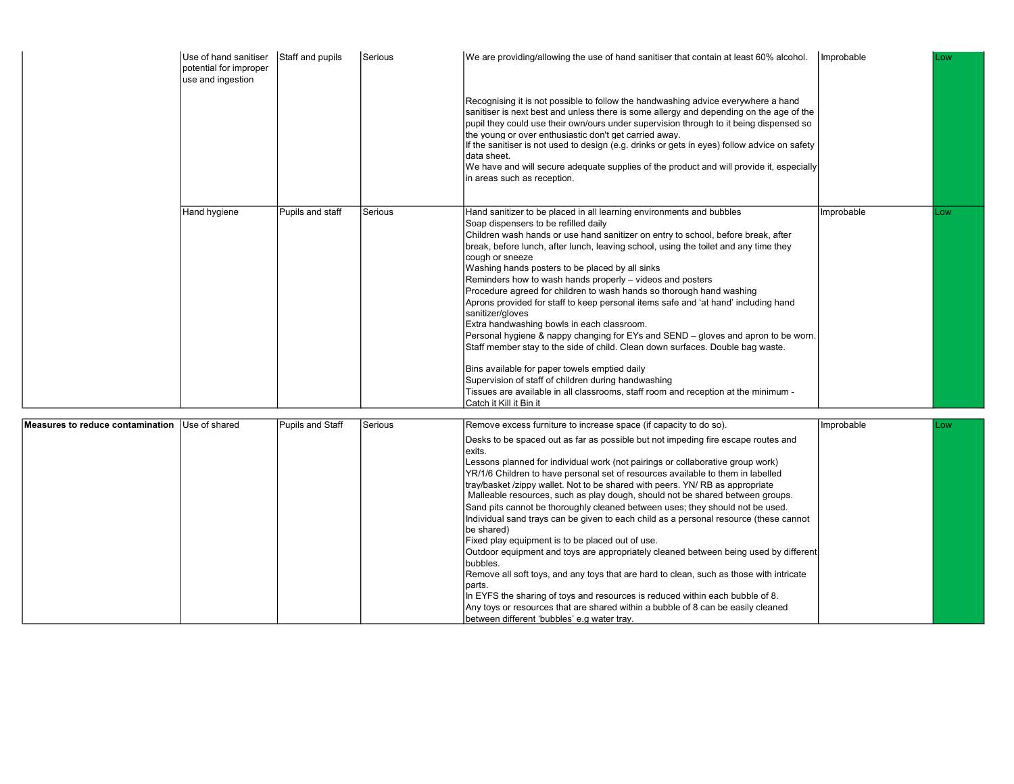|                                            | Use of hand sanitiser<br>potential for improper<br>use and ingestion | Staff and pupils       | Serious   | We are providing/allowing the use of hand sanitiser that contain at least 60% alcohol.                                                                                                                                                                                                                                                                                                                                                                                                                                                                                                                                                                                                                                                                                                                                                                                                                                                                                                                                                                        | Improbable | l Low |
|--------------------------------------------|----------------------------------------------------------------------|------------------------|-----------|---------------------------------------------------------------------------------------------------------------------------------------------------------------------------------------------------------------------------------------------------------------------------------------------------------------------------------------------------------------------------------------------------------------------------------------------------------------------------------------------------------------------------------------------------------------------------------------------------------------------------------------------------------------------------------------------------------------------------------------------------------------------------------------------------------------------------------------------------------------------------------------------------------------------------------------------------------------------------------------------------------------------------------------------------------------|------------|-------|
|                                            |                                                                      |                        |           | Recognising it is not possible to follow the handwashing advice everywhere a hand<br>sanitiser is next best and unless there is some allergy and depending on the age of the<br>pupil they could use their own/ours under supervision through to it being dispensed so<br>the young or over enthusiastic don't get carried away.<br>If the sanitiser is not used to design (e.g. drinks or gets in eyes) follow advice on safety<br>Idata sheet.<br>We have and will secure adequate supplies of the product and will provide it, especially<br>in areas such as reception.                                                                                                                                                                                                                                                                                                                                                                                                                                                                                   |            |       |
|                                            | Hand hygiene                                                         | Pupils and staff       | Serious   | Hand sanitizer to be placed in all learning environments and bubbles<br>Soap dispensers to be refilled daily<br>Children wash hands or use hand sanitizer on entry to school, before break, after<br>break, before lunch, after lunch, leaving school, using the toilet and any time they<br>lcouah or sneeze<br>Washing hands posters to be placed by all sinks<br>Reminders how to wash hands properly - videos and posters<br>Procedure agreed for children to wash hands so thorough hand washing<br>Aprons provided for staff to keep personal items safe and 'at hand' including hand<br>sanitizer/gloves<br>Extra handwashing bowls in each classroom.<br>Personal hygiene & nappy changing for EYs and SEND – gloves and apron to be worn.<br>Staff member stay to the side of child. Clean down surfaces. Double bag waste.<br>Bins available for paper towels emptied daily<br>Supervision of staff of children during handwashing<br>Tissues are available in all classrooms, staff room and reception at the minimum -<br>Catch it Kill it Bin it | Improbable | Low   |
| rea te reduce contamination. Use of charad |                                                                      | $D$ unile and $C$ teff | l Cariaun | $D_{\text{OMO}}$ avecas furniture to increase ansee (if conseitute de se)                                                                                                                                                                                                                                                                                                                                                                                                                                                                                                                                                                                                                                                                                                                                                                                                                                                                                                                                                                                     | Improboblo |       |
|                                            |                                                                      |                        |           |                                                                                                                                                                                                                                                                                                                                                                                                                                                                                                                                                                                                                                                                                                                                                                                                                                                                                                                                                                                                                                                               |            |       |

| Measures to reduce contamination Use of shared | Pupils and Staff | Serious | Remove excess furniture to increase space (if capacity to do so).                                                                                                                                                                                                                                                                                                                                                                                                                                                                                                                                                            | Improbable | l Low |
|------------------------------------------------|------------------|---------|------------------------------------------------------------------------------------------------------------------------------------------------------------------------------------------------------------------------------------------------------------------------------------------------------------------------------------------------------------------------------------------------------------------------------------------------------------------------------------------------------------------------------------------------------------------------------------------------------------------------------|------------|-------|
|                                                |                  |         | Desks to be spaced out as far as possible but not impeding fire escape routes and<br>lexits.<br>Lessons planned for individual work (not pairings or collaborative group work)<br>YR/1/6 Children to have personal set of resources available to them in labelled<br>tray/basket /zippy wallet. Not to be shared with peers. YN/ RB as appropriate<br>Malleable resources, such as play dough, should not be shared between groups.<br>Sand pits cannot be thoroughly cleaned between uses; they should not be used.<br>Individual sand trays can be given to each child as a personal resource (these cannot<br>lbe shared) |            |       |
|                                                |                  |         | Fixed play equipment is to be placed out of use.<br>Outdoor equipment and toys are appropriately cleaned between being used by different<br>bubbles.<br>Remove all soft toys, and any toys that are hard to clean, such as those with intricate<br>Iparts.<br>In EYFS the sharing of toys and resources is reduced within each bubble of 8.<br>Any toys or resources that are shared within a bubble of 8 can be easily cleaned<br>Ibetween different 'bubbles' e.a water tray.                                                                                                                                              |            |       |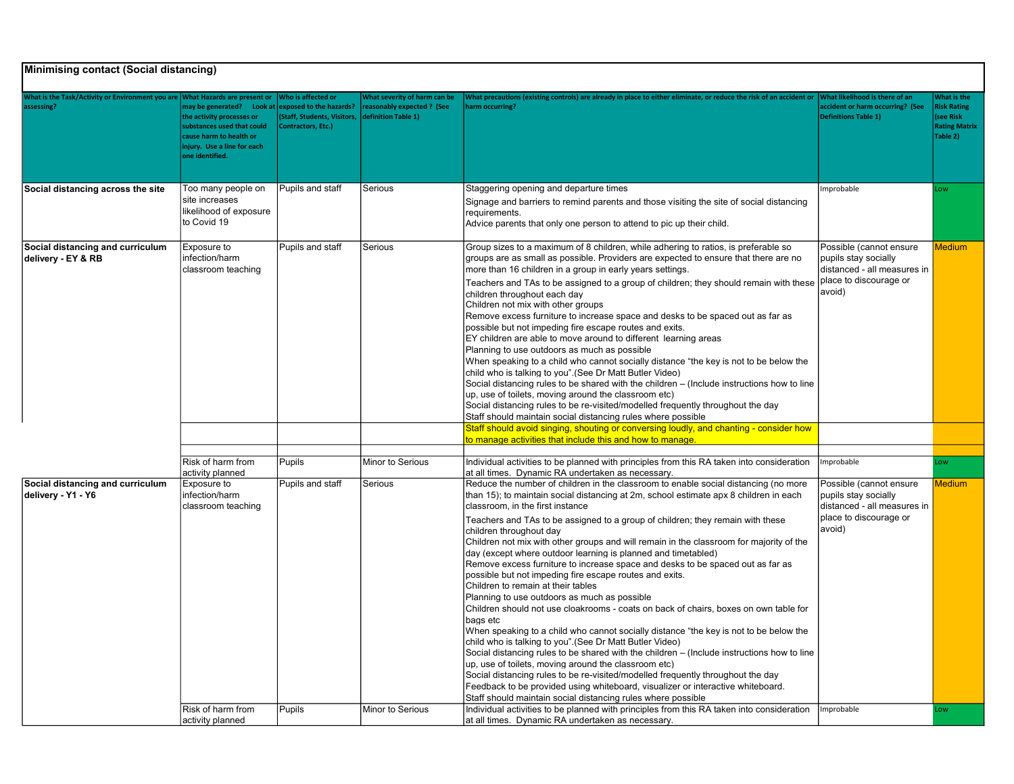|                                                                       | <b>Minimising contact (Social distancing)</b>                                                                                                                                                          |                                                                                                    |                                                                                          |                                                                                                                                                                                                                                                                                                                                                                                                                                                                                                                                                                                                                                                                                                                                                                                                                                                                                                                                                                                                                                                                                                                                                                                                                                                                                                                                                                                                                                                                                |                                                                                                                                  |                                                                                    |  |  |
|-----------------------------------------------------------------------|--------------------------------------------------------------------------------------------------------------------------------------------------------------------------------------------------------|----------------------------------------------------------------------------------------------------|------------------------------------------------------------------------------------------|--------------------------------------------------------------------------------------------------------------------------------------------------------------------------------------------------------------------------------------------------------------------------------------------------------------------------------------------------------------------------------------------------------------------------------------------------------------------------------------------------------------------------------------------------------------------------------------------------------------------------------------------------------------------------------------------------------------------------------------------------------------------------------------------------------------------------------------------------------------------------------------------------------------------------------------------------------------------------------------------------------------------------------------------------------------------------------------------------------------------------------------------------------------------------------------------------------------------------------------------------------------------------------------------------------------------------------------------------------------------------------------------------------------------------------------------------------------------------------|----------------------------------------------------------------------------------------------------------------------------------|------------------------------------------------------------------------------------|--|--|
| <b>Vhat is the Task/Activity or Environment you are</b><br>assessing? | <b>What Hazards are present or</b><br>may be generated? Look at<br>the activity processes or<br>substances used that could<br>cause harm to health or<br>njury. Use a line for each<br>one identified. | Vho is affected or<br>exposed to the hazards?<br>(Staff, Students, Visitors,<br>Contractors, Etc.) | <b>Nhat severity of harm can be</b><br>reasonably expected ? (See<br>definition Table 1) | What precautions (existing controls) are already in place to either eliminate, or reduce the risk of an accident or<br>harm occurring?                                                                                                                                                                                                                                                                                                                                                                                                                                                                                                                                                                                                                                                                                                                                                                                                                                                                                                                                                                                                                                                                                                                                                                                                                                                                                                                                         | Vhat likelihood is there of an<br>accident or harm occurring? (See<br><b>Definitions Table 1)</b>                                | What is the<br><b>Risk Rating</b><br>(see Risk<br><b>Rating Matrix</b><br>Table 2) |  |  |
| Social distancing across the site                                     | Too many people on<br>site increases<br>likelihood of exposure<br>to Covid 19                                                                                                                          | Pupils and staff                                                                                   | Serious                                                                                  | Staggering opening and departure times<br>Signage and barriers to remind parents and those visiting the site of social distancing<br>requirements.<br>Advice parents that only one person to attend to pic up their child.                                                                                                                                                                                                                                                                                                                                                                                                                                                                                                                                                                                                                                                                                                                                                                                                                                                                                                                                                                                                                                                                                                                                                                                                                                                     | Improbable                                                                                                                       | ow                                                                                 |  |  |
| Social distancing and curriculum<br>delivery - EY & RB                | Exposure to<br>infection/harm<br>classroom teaching                                                                                                                                                    | Pupils and staff                                                                                   | l Serious                                                                                | Group sizes to a maximum of 8 children, while adhering to ratios, is preferable so<br>groups are as small as possible. Providers are expected to ensure that there are no<br>more than 16 children in a group in early years settings.<br>Teachers and TAs to be assigned to a group of children; they should remain with these Dalace to discourage or<br>children throughout each day<br>Children not mix with other groups<br>Remove excess furniture to increase space and desks to be spaced out as far as<br>possible but not impeding fire escape routes and exits.<br>EY children are able to move around to different learning areas<br>Planning to use outdoors as much as possible<br>When speaking to a child who cannot socially distance "the key is not to be below the<br>child who is talking to you". (See Dr Matt Butler Video)<br>Social distancing rules to be shared with the children - (Include instructions how to line<br>up, use of toilets, moving around the classroom etc)<br>Social distancing rules to be re-visited/modelled frequently throughout the day<br>Staff should maintain social distancing rules where possible                                                                                                                                                                                                                                                                                                                    | Possible (cannot ensure<br>pupils stay socially<br>distanced - all measures in<br>avoid)                                         | <b>Medium</b>                                                                      |  |  |
|                                                                       |                                                                                                                                                                                                        |                                                                                                    |                                                                                          | Staff should avoid singing, shouting or conversing loudly, and chanting - consider how<br>to manage activities that include this and how to manage.                                                                                                                                                                                                                                                                                                                                                                                                                                                                                                                                                                                                                                                                                                                                                                                                                                                                                                                                                                                                                                                                                                                                                                                                                                                                                                                            |                                                                                                                                  |                                                                                    |  |  |
|                                                                       | Risk of harm from<br>activity planned                                                                                                                                                                  | Pupils                                                                                             | Minor to Serious                                                                         | Individual activities to be planned with principles from this RA taken into consideration<br>at all times. Dynamic RA undertaken as necessary.                                                                                                                                                                                                                                                                                                                                                                                                                                                                                                                                                                                                                                                                                                                                                                                                                                                                                                                                                                                                                                                                                                                                                                                                                                                                                                                                 | mprobable                                                                                                                        | ow                                                                                 |  |  |
| Social distancing and curriculum<br>delivery - Y1 - Y6                | Exposure to<br>infection/harm<br>classroom teaching<br>Risk of harm from                                                                                                                               | Pupils and staff<br><b>Pupils</b>                                                                  | Serious<br>Minor to Serious                                                              | Reduce the number of children in the classroom to enable social distancing (no more<br>than 15); to maintain social distancing at 2m, school estimate apx 8 children in each<br>classroom, in the first instance<br>Teachers and TAs to be assigned to a group of children; they remain with these<br>children throughout day<br>Children not mix with other groups and will remain in the classroom for majority of the<br>day (except where outdoor learning is planned and timetabled)<br>Remove excess furniture to increase space and desks to be spaced out as far as<br>possible but not impeding fire escape routes and exits.<br>Children to remain at their tables<br>Planning to use outdoors as much as possible<br>Children should not use cloakrooms - coats on back of chairs, boxes on own table for<br>bags etc<br>When speaking to a child who cannot socially distance "the key is not to be below the<br>child who is talking to you". (See Dr Matt Butler Video)<br>Social distancing rules to be shared with the children - (Include instructions how to line<br>up, use of toilets, moving around the classroom etc)<br>Social distancing rules to be re-visited/modelled frequently throughout the day<br>Feedback to be provided using whiteboard, visualizer or interactive whiteboard.<br>Staff should maintain social distancing rules where possible<br>Individual activities to be planned with principles from this RA taken into consideration | Possible (cannot ensure<br>pupils stay socially<br>distanced - all measures in<br>place to discourage or<br>avoid)<br>Improbable | <b>Medium</b><br>ow                                                                |  |  |
|                                                                       | activity planned                                                                                                                                                                                       |                                                                                                    |                                                                                          | at all times. Dynamic RA undertaken as necessary.                                                                                                                                                                                                                                                                                                                                                                                                                                                                                                                                                                                                                                                                                                                                                                                                                                                                                                                                                                                                                                                                                                                                                                                                                                                                                                                                                                                                                              |                                                                                                                                  |                                                                                    |  |  |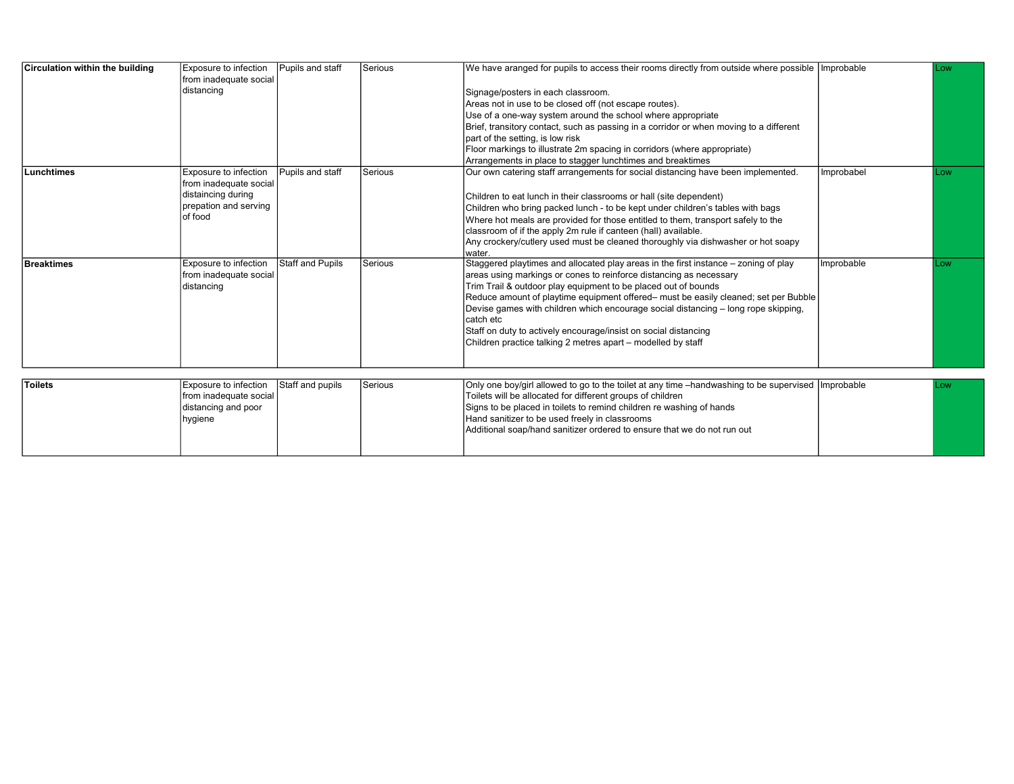| Circulation within the building | Exposure to infection                | Pupils and staff        | Serious | We have aranged for pupils to access their rooms directly from outside where possible   Improbable   |            | Low       |
|---------------------------------|--------------------------------------|-------------------------|---------|------------------------------------------------------------------------------------------------------|------------|-----------|
|                                 | from inadequate social<br>distancing |                         |         | Signage/posters in each classroom.                                                                   |            |           |
|                                 |                                      |                         |         | Areas not in use to be closed off (not escape routes).                                               |            |           |
|                                 |                                      |                         |         | Use of a one-way system around the school where appropriate                                          |            |           |
|                                 |                                      |                         |         | Brief, transitory contact, such as passing in a corridor or when moving to a different               |            |           |
|                                 |                                      |                         |         | part of the setting, is low risk                                                                     |            |           |
|                                 |                                      |                         |         | Floor markings to illustrate 2m spacing in corridors (where appropriate)                             |            |           |
|                                 |                                      |                         |         | Arrangements in place to stagger lunchtimes and breaktimes                                           |            |           |
| Lunchtimes                      | Exposure to infection                | Pupils and staff        | Serious | Our own catering staff arrangements for social distancing have been implemented.                     | Improbabel | <b>OW</b> |
|                                 | from inadequate social               |                         |         |                                                                                                      |            |           |
|                                 | distaincing during                   |                         |         | Children to eat lunch in their classrooms or hall (site dependent)                                   |            |           |
|                                 | prepation and serving                |                         |         | Children who bring packed lunch - to be kept under children's tables with bags                       |            |           |
|                                 | of food                              |                         |         | Where hot meals are provided for those entitled to them, transport safely to the                     |            |           |
|                                 |                                      |                         |         | classroom of if the apply 2m rule if canteen (hall) available.                                       |            |           |
|                                 |                                      |                         |         | Any crockery/cutlery used must be cleaned thoroughly via dishwasher or hot soapy                     |            |           |
|                                 |                                      |                         |         | water.                                                                                               |            |           |
| Breaktimes                      | Exposure to infection                | <b>Staff and Pupils</b> | Serious | Staggered playtimes and allocated play areas in the first instance – zoning of play                  | Improbable | Low       |
|                                 | from inadequate social               |                         |         | areas using markings or cones to reinforce distancing as necessary                                   |            |           |
|                                 | distancing                           |                         |         | Trim Trail & outdoor play equipment to be placed out of bounds                                       |            |           |
|                                 |                                      |                         |         | Reduce amount of playtime equipment offered- must be easily cleaned; set per Bubble                  |            |           |
|                                 |                                      |                         |         | Devise games with children which encourage social distancing – long rope skipping,                   |            |           |
|                                 |                                      |                         |         | catch etc                                                                                            |            |           |
|                                 |                                      |                         |         | Staff on duty to actively encourage/insist on social distancing                                      |            |           |
|                                 |                                      |                         |         | Children practice talking 2 metres apart – modelled by staff                                         |            |           |
|                                 |                                      |                         |         |                                                                                                      |            |           |
|                                 |                                      |                         |         |                                                                                                      |            |           |
| Toilets                         | Exposure to infection                | Staff and pupils        | Serious | Only one boy/girl allowed to go to the toilet at any time -handwashing to be supervised   Improbable |            | <b>OW</b> |
|                                 | from inadequate social               |                         |         | Toilets will be allocated for different groups of children                                           |            |           |
|                                 | distancing and poor                  |                         |         | Signs to be placed in toilets to remind children re washing of hands                                 |            |           |
|                                 | hygiene                              |                         |         | Hand sanitizer to be used freely in classrooms                                                       |            |           |
|                                 |                                      |                         |         | Additional soap/hand sanitizer ordered to ensure that we do not run out                              |            |           |
|                                 |                                      |                         |         |                                                                                                      |            |           |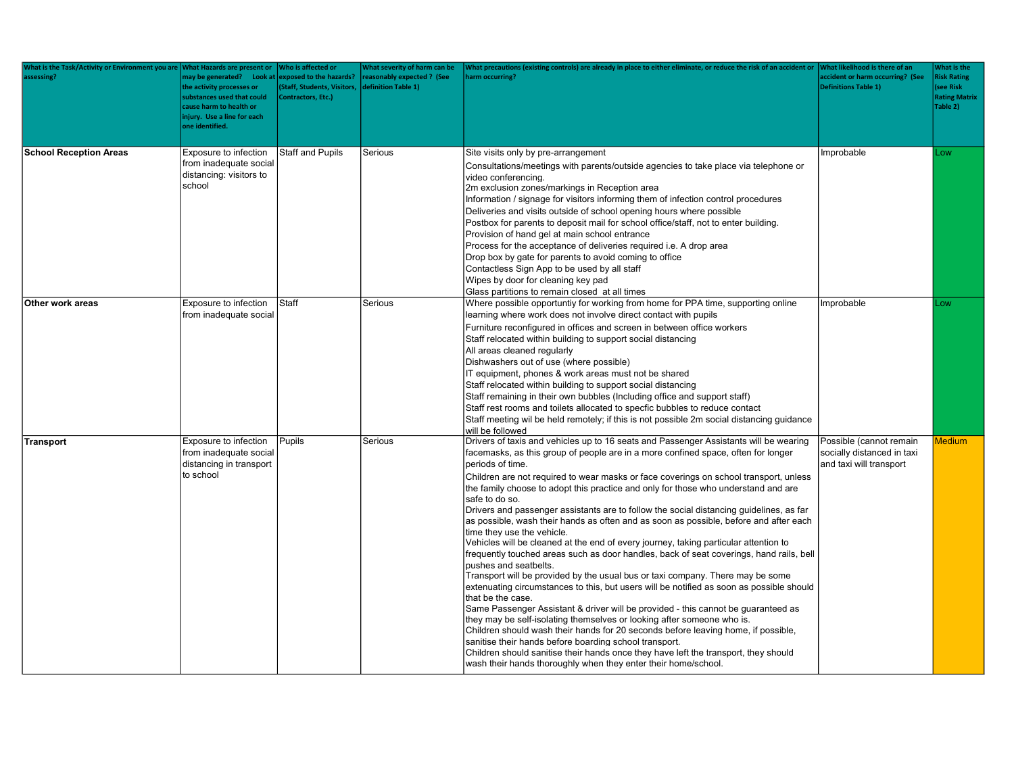| What is the Task/Activity or Environment you are<br>assessing? | What Hazards are present or<br>may be generated? Look at exposed to the hazards?<br>the activity processes or<br>substances used that could<br>cause harm to health or<br>injury. Use a line for each<br>one identified. | Who is affected or<br><b>Staff, Students, Visitors,</b><br>Contractors, Etc.) | What severity of harm can be<br>reasonably expected? (See<br>definition Table 1) | What precautions (existing controls) are already in place to either eliminate, or reduce the risk of an accident or VWhat likelihood is there of an<br>harm occurring?                                                                                                                                                                                                                                                                                                                                                                                                                                                                                                                                                                                                                                                                                                                                                                                                                                                                                                                                                                                                                                                                                                                                                                                                                                                                                                                                  | accident or harm occurring? (See<br><b>Definitions Table 1)</b>                  | What is the<br><b>Risk Rating</b><br>(see Risk<br><b>Rating Matrix</b><br>Table 2) |
|----------------------------------------------------------------|--------------------------------------------------------------------------------------------------------------------------------------------------------------------------------------------------------------------------|-------------------------------------------------------------------------------|----------------------------------------------------------------------------------|---------------------------------------------------------------------------------------------------------------------------------------------------------------------------------------------------------------------------------------------------------------------------------------------------------------------------------------------------------------------------------------------------------------------------------------------------------------------------------------------------------------------------------------------------------------------------------------------------------------------------------------------------------------------------------------------------------------------------------------------------------------------------------------------------------------------------------------------------------------------------------------------------------------------------------------------------------------------------------------------------------------------------------------------------------------------------------------------------------------------------------------------------------------------------------------------------------------------------------------------------------------------------------------------------------------------------------------------------------------------------------------------------------------------------------------------------------------------------------------------------------|----------------------------------------------------------------------------------|------------------------------------------------------------------------------------|
| <b>School Reception Areas</b>                                  | Exposure to infection<br>from inadequate social<br>distancing: visitors to<br>school                                                                                                                                     | <b>Staff and Pupils</b>                                                       | Serious                                                                          | Site visits only by pre-arrangement<br>Consultations/meetings with parents/outside agencies to take place via telephone or<br>video conferencina.<br>2m exclusion zones/markings in Reception area<br>Information / signage for visitors informing them of infection control procedures<br>Deliveries and visits outside of school opening hours where possible<br>Postbox for parents to deposit mail for school office/staff, not to enter building.<br>Provision of hand gel at main school entrance<br>Process for the acceptance of deliveries required i.e. A drop area<br>Drop box by gate for parents to avoid coming to office<br>Contactless Sign App to be used by all staff<br>Wipes by door for cleaning key pad<br>Glass partitions to remain closed at all times                                                                                                                                                                                                                                                                                                                                                                                                                                                                                                                                                                                                                                                                                                                         | Improbable                                                                       | Low                                                                                |
| Other work areas                                               | Exposure to infection<br>from inadequate social                                                                                                                                                                          | Staff                                                                         | Serious                                                                          | Where possible opportuntiy for working from home for PPA time, supporting online<br>learning where work does not involve direct contact with pupils<br>Furniture reconfigured in offices and screen in between office workers<br>Staff relocated within building to support social distancing<br>All areas cleaned regularly<br>Dishwashers out of use (where possible)<br>IT equipment, phones & work areas must not be shared<br>Staff relocated within building to support social distancing<br>Staff remaining in their own bubbles (Including office and support staff)<br>Staff rest rooms and toilets allocated to specfic bubbles to reduce contact<br>Staff meeting wil be held remotely; if this is not possible 2m social distancing guidance<br>will be followed                                                                                                                                                                                                                                                                                                                                                                                                                                                                                                                                                                                                                                                                                                                            | Improbable                                                                       | .ow                                                                                |
| Transport                                                      | Exposure to infection<br>from inadequate social<br>distancing in transport<br>to school                                                                                                                                  | Pupils                                                                        | Serious                                                                          | Drivers of taxis and vehicles up to 16 seats and Passenger Assistants will be wearing<br>facemasks, as this group of people are in a more confined space, often for longer<br>periods of time.<br>Children are not required to wear masks or face coverings on school transport, unless<br>the family choose to adopt this practice and only for those who understand and are<br>safe to do so.<br>Drivers and passenger assistants are to follow the social distancing guidelines, as far<br>as possible, wash their hands as often and as soon as possible, before and after each<br>time they use the vehicle.<br>Vehicles will be cleaned at the end of every journey, taking particular attention to<br>frequently touched areas such as door handles, back of seat coverings, hand rails, bell<br>pushes and seatbelts.<br>Transport will be provided by the usual bus or taxi company. There may be some<br>extenuating circumstances to this, but users will be notified as soon as possible should<br>that be the case.<br>Same Passenger Assistant & driver will be provided - this cannot be guaranteed as<br>they may be self-isolating themselves or looking after someone who is.<br>Children should wash their hands for 20 seconds before leaving home, if possible,<br>sanitise their hands before boarding school transport.<br>Children should sanitise their hands once they have left the transport, they should<br>wash their hands thoroughly when they enter their home/school. | Possible (cannot remain<br>socially distanced in taxi<br>and taxi will transport | <b>Medium</b>                                                                      |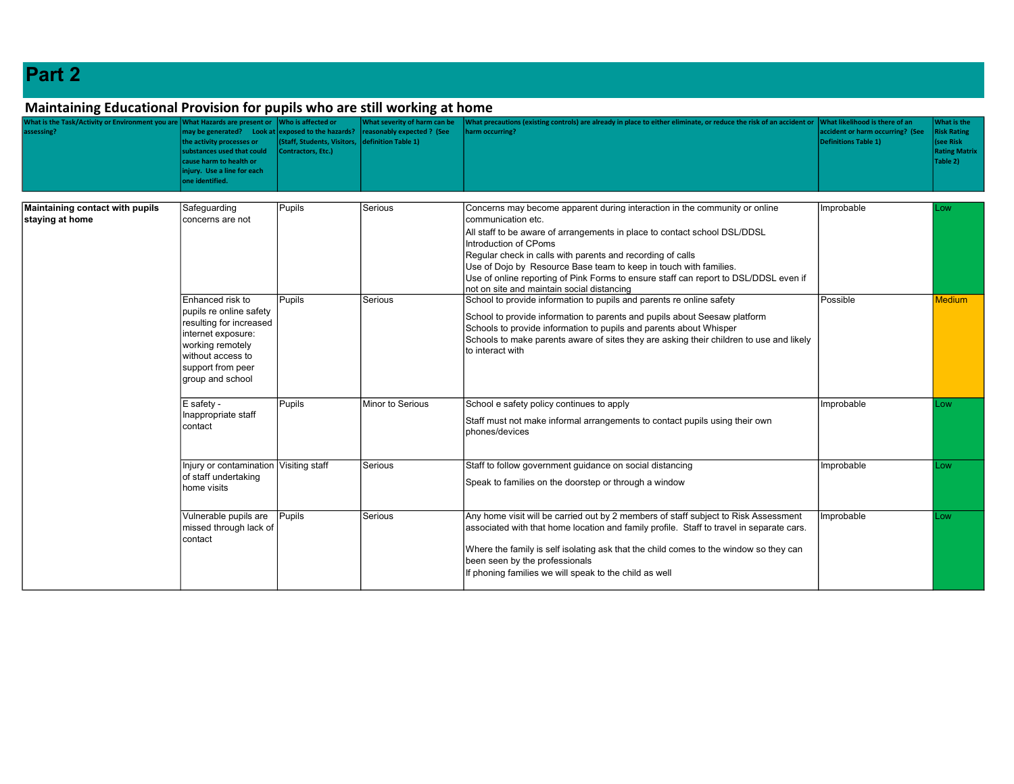## Part 2

## Maintaining Educational Provision for pupils who are still working at home

| What is the Task/Activity or Environment you are What Hazards are present or<br>assessing? | nay be generated? Look at exposed to the hazards?<br>the activity processes or<br>substances used that could<br>ause harm to health or<br>njury. Use a line for each<br>one identified. | Who is affected or<br><b>Staff, Students, Visitors,</b><br>Contractors, Etc.)                                                              | What severity of harm can be<br>reasonably expected ? (See<br>definition Table 1) | What precautions (existing controls) are already in place to either eliminate, or reduce the risk of an accident or<br>harm occurring?                                                                                                                                                                                                                                                                                                                                          | What likelihood is there of an<br>accident or harm occurring? (See<br><b>Definitions Table 1)</b> | What is the<br><b>Risk Rating</b><br>(see Risk<br><b>Rating Matrix</b><br>Table 2) |
|--------------------------------------------------------------------------------------------|-----------------------------------------------------------------------------------------------------------------------------------------------------------------------------------------|--------------------------------------------------------------------------------------------------------------------------------------------|-----------------------------------------------------------------------------------|---------------------------------------------------------------------------------------------------------------------------------------------------------------------------------------------------------------------------------------------------------------------------------------------------------------------------------------------------------------------------------------------------------------------------------------------------------------------------------|---------------------------------------------------------------------------------------------------|------------------------------------------------------------------------------------|
| Maintaining contact with pupils<br>staying at home                                         | Safeguarding<br>concerns are not                                                                                                                                                        | Pupils                                                                                                                                     | l Serious                                                                         | Concerns may become apparent during interaction in the community or online<br>communication etc.<br>All staff to be aware of arrangements in place to contact school DSL/DDSL<br>Introduction of CPoms<br>Regular check in calls with parents and recording of calls<br>Use of Dojo by Resource Base team to keep in touch with families.<br>Use of online reporting of Pink Forms to ensure staff can report to DSL/DDSL even if<br>not on site and maintain social distancing | Improbable                                                                                        | Low                                                                                |
|                                                                                            | Enhanced risk to<br>pupils re online safety<br>resulting for increased<br>internet exposure:<br>working remotely<br>without access to<br>support from peer<br>group and school          | Pupils                                                                                                                                     | Serious                                                                           | School to provide information to pupils and parents re online safety<br>School to provide information to parents and pupils about Seesaw platform<br>Schools to provide information to pupils and parents about Whisper<br>Schools to make parents aware of sites they are asking their children to use and likely<br>to interact with                                                                                                                                          | Possible                                                                                          | <b>Medium</b>                                                                      |
|                                                                                            | Pupils<br>Minor to Serious<br>E safety -<br>Inappropriate staff<br>contact                                                                                                              | School e safety policy continues to apply<br>Staff must not make informal arrangements to contact pupils using their own<br>phones/devices | Improbable                                                                        | Low                                                                                                                                                                                                                                                                                                                                                                                                                                                                             |                                                                                                   |                                                                                    |
|                                                                                            | Injury or contamination Visiting staff<br>of staff undertaking<br>home visits                                                                                                           |                                                                                                                                            | l Serious                                                                         | Staff to follow government guidance on social distancing<br>Speak to families on the doorstep or through a window                                                                                                                                                                                                                                                                                                                                                               | Improbable                                                                                        | Low                                                                                |
|                                                                                            | Vulnerable pupils are<br>missed through lack of<br>contact                                                                                                                              | Pupils                                                                                                                                     | Serious                                                                           | Any home visit will be carried out by 2 members of staff subject to Risk Assessment<br>associated with that home location and family profile. Staff to travel in separate cars.<br>Where the family is self isolating ask that the child comes to the window so they can<br>been seen by the professionals<br>If phoning families we will speak to the child as well                                                                                                            | Improbable                                                                                        | Low                                                                                |